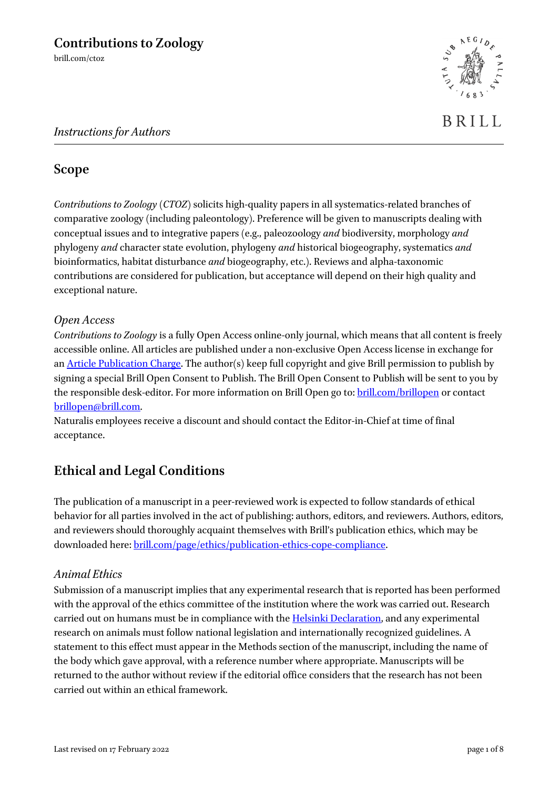# *Instructions for Authors*



# **Scope**

*Contributions to Zoology* (*CTOZ*) solicits high-quality papers in all systematics-related branches of comparative zoology (including paleontology). Preference will be given to manuscripts dealing with conceptual issues and to integrative papers (e.g., paleozoology *and* biodiversity, morphology *and* phylogeny *and* character state evolution, phylogeny *and* historical biogeography, systematics *and* bioinformatics, habitat disturbance *and* biogeography, etc.). Reviews and alpha-taxonomic contributions are considered for publication, but acceptance will depend on their high quality and exceptional nature.

# *Open Access*

*Contributions to Zoology* is a fully Open Access online-only journal, which means that all content is freely accessible online. All articles are published under a non-exclusive Open Access license in exchange for a[n Article Publication Charge.](http://www.brill.com/resources/authors/publishing-journals-brill/brill-open-access-journals) The author(s) keep full copyright and give Brill permission to publish by signing a special Brill Open Consent to Publish. The Brill Open Consent to Publish will be sent to you by the responsible desk-editor. For more information on Brill Open go to: **brill.com/brillopen** or contact [brillopen@brill.com.](mailto:brillopen@brill.com)

Naturalis employees receive a discount and should contact the Editor-in-Chief at time of final acceptance.

# **Ethical and Legal Conditions**

The publication of a manuscript in a peer-reviewed work is expected to follow standards of ethical behavior for all parties involved in the act of publishing: authors, editors, and reviewers. Authors, editors, and reviewers should thoroughly acquaint themselves with Brill's publication ethics, which may be downloaded here[: brill.com/page/ethics/publication-ethics-cope-compliance.](https://brill.com/page/ethics/publication-ethics-cope-compliance)

# *Animal Ethics*

Submission of a manuscript implies that any experimental research that is reported has been performed with the approval of the ethics committee of the institution where the work was carried out. Research carried out on humans must be in compliance with the **Helsinki Declaration**, and any experimental research on animals must follow national legislation and internationally recognized guidelines. A statement to this effect must appear in the Methods section of the manuscript, including the name of the body which gave approval, with a reference number where appropriate. Manuscripts will be returned to the author without review if the editorial office considers that the research has not been carried out within an ethical framework.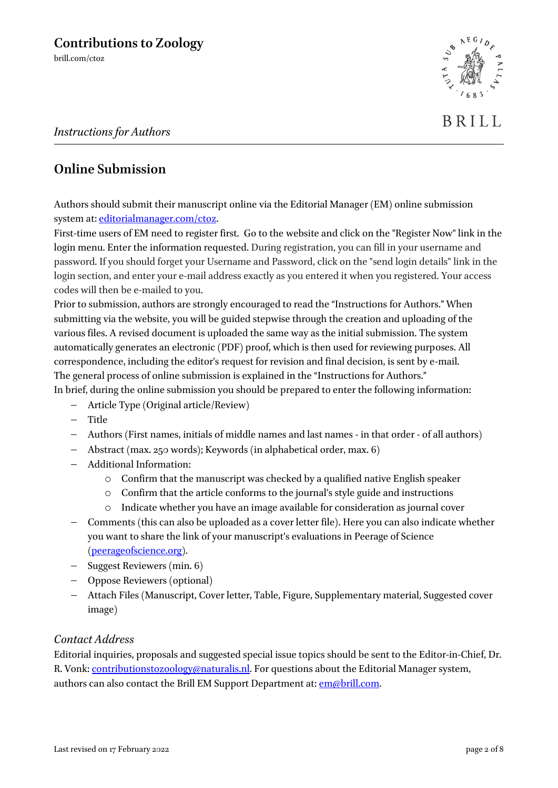BRILL

# **Online Submission**

Authors should submit their manuscript online via the Editorial Manager (EM) online submission system at[: editorialmanager.com/ctoz.](http://www.editorialmanager.com/ctoz)

First-time users of EM need to register first. Go to the website and click on the "Register Now" link in the login menu. Enter the information requested. During registration, you can fill in your username and password. If you should forget your Username and Password, click on the "send login details" link in the login section, and enter your e-mail address exactly as you entered it when you registered. Your access codes will then be e-mailed to you.

Prior to submission, authors are strongly encouraged to read the "Instructions for Authors." When submitting via the website, you will be guided stepwise through the creation and uploading of the various files. A revised document is uploaded the same way as the initial submission. The system automatically generates an electronic (PDF) proof, which is then used for reviewing purposes. All correspondence, including the editor's request for revision and final decision, is sent by e-mail. The general process of online submission is explained in the "Instructions for Authors."

In brief, during the online submission you should be prepared to enter the following information:

- − Article Type (Original article/Review)
- − Title
- − Authors (First names, initials of middle names and last names in that order of all authors)
- − Abstract (max. 250 words); Keywords (in alphabetical order, max. 6)
- − Additional Information:
	- o Confirm that the manuscript was checked by a qualified native English speaker
	- o Confirm that the article conforms to the journal's style guide and instructions
	- o Indicate whether you have an image available for consideration as journal cover
- − Comments (this can also be uploaded as a cover letter file). Here you can also indicate whether you want to share the link of your manuscript's evaluations in Peerage of Science [\(peerageofscience.org\)](http://www.peerageofscience.org/).
- − Suggest Reviewers (min. 6)
- − Oppose Reviewers (optional)
- − Attach Files (Manuscript, Cover letter, Table, Figure, Supplementary material, Suggested cover image)

#### *Contact Address*

Editorial inquiries, proposals and suggested special issue topics should be sent to the Editor-in-Chief, Dr. R. Vonk: [contributionstozoology@naturalis.nl.](mailto:contributionstozoology@naturalis.nl) For questions about the Editorial Manager system, authors can also contact the Brill EM Support Department at: [em@brill.com.](mailto:em@brill.com)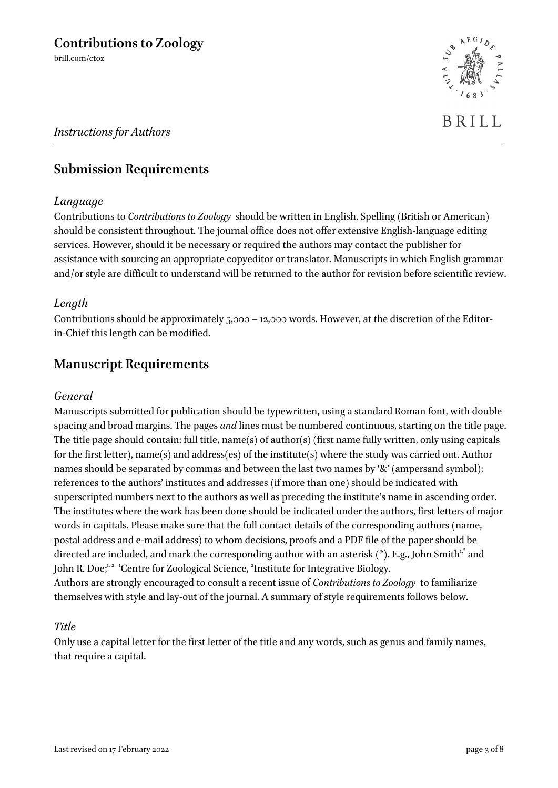BRILL

# *Instructions for Authors*

# **Submission Requirements**

#### *Language*

Contributions to *Contributions to Zoology* should be written in English. Spelling (British or American) should be consistent throughout. The journal office does not offer extensive English-language editing services. However, should it be necessary or required the authors may contact the publisher for assistance with sourcing an appropriate copyeditor or translator. Manuscripts in which English grammar and/or style are difficult to understand will be returned to the author for revision before scientific review.

#### *Length*

Contributions should be approximately  $5,000 - 12,000$  words. However, at the discretion of the Editorin-Chief this length can be modified.

# **Manuscript Requirements**

#### *General*

Manuscripts submitted for publication should be typewritten, using a standard Roman font, with double spacing and broad margins. The pages *and* lines must be numbered continuous, starting on the title page. The title page should contain: full title, name(s) of author(s) (first name fully written, only using capitals for the first letter), name(s) and address(es) of the institute(s) where the study was carried out. Author names should be separated by commas and between the last two names by '&' (ampersand symbol); references to the authors' institutes and addresses (if more than one) should be indicated with superscripted numbers next to the authors as well as preceding the institute's name in ascending order. The institutes where the work has been done should be indicated under the authors, first letters of major words in capitals. Please make sure that the full contact details of the corresponding authors (name, postal address and e-mail address) to whom decisions, proofs and a PDF file of the paper should be directed are included, and mark the corresponding author with an asterisk (\*). E.g., John Smith $^{\iota,*}$  and John R. Doe;<sup>1,2</sup> 'Centre for Zoological Science, <sup>2</sup>Institute for Integrative Biology. Authors are strongly encouraged to consult a recent issue of *Contributions to Zoology* to familiarize themselves with style and lay-out of the journal. A summary of style requirements follows below.

#### *Title*

Only use a capital letter for the first letter of the title and any words, such as genus and family names, that require a capital.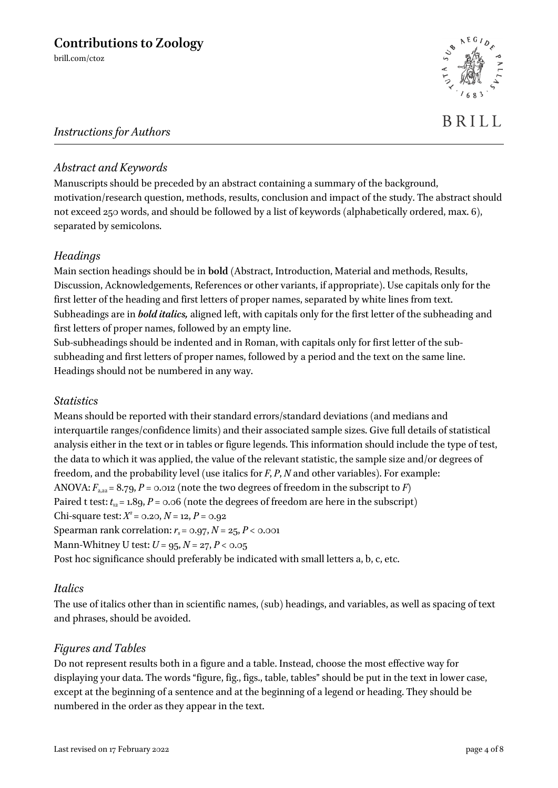# *Instructions for Authors*

# *Abstract and Keywords*

Manuscripts should be preceded by an abstract containing a summary of the background, motivation/research question, methods, results, conclusion and impact of the study. The abstract should not exceed 250 words, and should be followed by a list of keywords (alphabetically ordered, max. 6), separated by semicolons.

# *Headings*

Main section headings should be in **bold** (Abstract, Introduction, Material and methods, Results, Discussion, Acknowledgements, References or other variants, if appropriate). Use capitals only for the first letter of the heading and first letters of proper names, separated by white lines from text. Subheadings are in *bold italics,* aligned left, with capitals only for the first letter of the subheading and first letters of proper names, followed by an empty line.

Sub-subheadings should be indented and in Roman, with capitals only for first letter of the subsubheading and first letters of proper names, followed by a period and the text on the same line. Headings should not be numbered in any way.

#### *Statistics*

Means should be reported with their standard errors/standard deviations (and medians and interquartile ranges/confidence limits) and their associated sample sizes. Give full details of statistical analysis either in the text or in tables or figure legends. This information should include the type of test, the data to which it was applied, the value of the relevant statistic, the sample size and/or degrees of freedom, and the probability level (use italics for *F*, *P*, *N* and other variables). For example: ANOVA:  $F_{2,22} = 8.79$ ,  $P = 0.012$  (note the two degrees of freedom in the subscript to *F*) Paired t test:  $t_{12} = 1.89$ ,  $P = 0.06$  (note the degrees of freedom are here in the subscript) Chi-square test:  $X^2 = 0.20, N = 12, P = 0.92$ Spearman rank correlation:  $r_s$  = 0.97,  $N$  = 25,  $P$  < 0.001 Mann-Whitney U test:  $U = 95, N = 27, P < 0.05$ Post hoc significance should preferably be indicated with small letters a, b, c, etc.

# *Italics*

The use of italics other than in scientific names, (sub) headings, and variables, as well as spacing of text and phrases, should be avoided.

# *Figures and Tables*

Do not represent results both in a figure and a table. Instead, choose the most effective way for displaying your data. The words "figure, fig., figs., table, tables" should be put in the text in lower case, except at the beginning of a sentence and at the beginning of a legend or heading. They should be numbered in the order as they appear in the text.

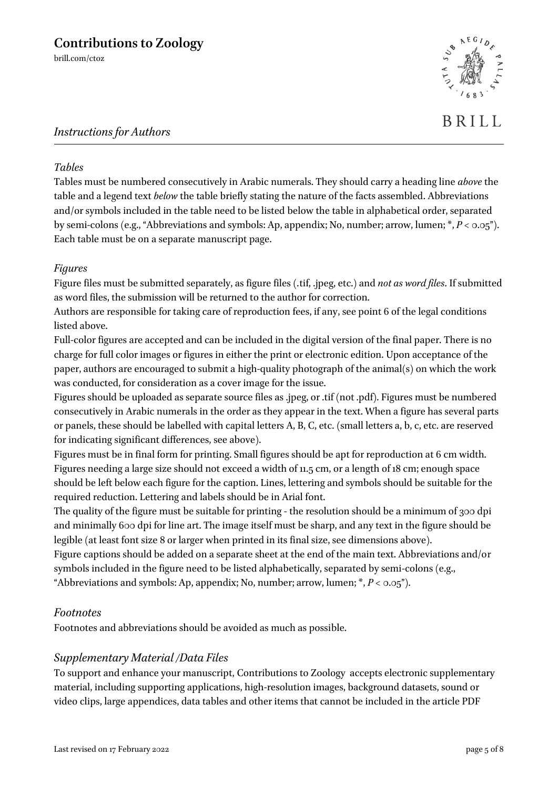# *Instructions for Authors*

#### *Tables*

Tables must be numbered consecutively in Arabic numerals. They should carry a heading line *above* the table and a legend text *below* the table briefly stating the nature of the facts assembled. Abbreviations and/or symbols included in the table need to be listed below the table in alphabetical order, separated by semi-colons (e.g., "Abbreviations and symbols: Ap, appendix; No, number; arrow, lumen; \*, *P* < 0.05"). Each table must be on a separate manuscript page.

#### *Figures*

Figure files must be submitted separately, as figure files (.tif, .jpeg, etc.) and *not as word files*. If submitted as word files, the submission will be returned to the author for correction.

Authors are responsible for taking care of reproduction fees, if any, see point 6 of the legal conditions listed above.

Full-color figures are accepted and can be included in the digital version of the final paper. There is no charge for full color images or figures in either the print or electronic edition. Upon acceptance of the paper, authors are encouraged to submit a high-quality photograph of the animal(s) on which the work was conducted, for consideration as a cover image for the issue.

Figures should be uploaded as separate source files as .jpeg, or .tif (not .pdf). Figures must be numbered consecutively in Arabic numerals in the order as they appear in the text. When a figure has several parts or panels, these should be labelled with capital letters A, B, C, etc. (small letters a, b, c, etc. are reserved for indicating significant differences, see above).

Figures must be in final form for printing. Small figures should be apt for reproduction at 6 cm width. Figures needing a large size should not exceed a width of 11.5 cm, or a length of 18 cm; enough space should be left below each figure for the caption. Lines, lettering and symbols should be suitable for the required reduction. Lettering and labels should be in Arial font.

The quality of the figure must be suitable for printing - the resolution should be a minimum of 300 dpi and minimally 600 dpi for line art. The image itself must be sharp, and any text in the figure should be legible (at least font size 8 or larger when printed in its final size, see dimensions above).

Figure captions should be added on a separate sheet at the end of the main text. Abbreviations and/or symbols included in the figure need to be listed alphabetically, separated by semi-colons (e.g., "Abbreviations and symbols: Ap, appendix; No, number; arrow, lumen;  $*$ ,  $P < 0.05$ ").

# *Footnotes*

Footnotes and abbreviations should be avoided as much as possible.

# *Supplementary Material /Data Files*

To support and enhance your manuscript, Contributions to Zoology accepts electronic supplementary material, including supporting applications, high-resolution images, background datasets, sound or video clips, large appendices, data tables and other items that cannot be included in the article PDF

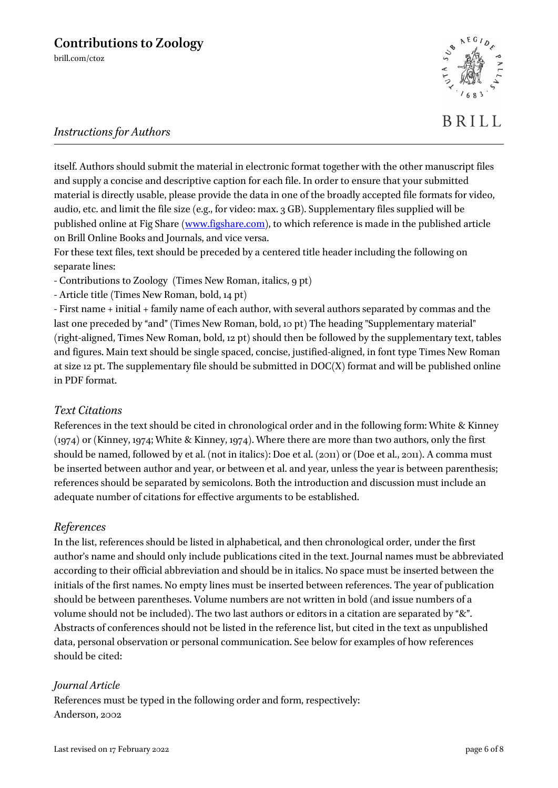

# *Instructions for Authors*

itself. Authors should submit the material in electronic format together with the other manuscript files and supply a concise and descriptive caption for each file. In order to ensure that your submitted material is directly usable, please provide the data in one of the broadly accepted file formats for video, audio, etc. and limit the file size (e.g., for video: max. 3 GB). Supplementary files supplied will be published online at Fig Share [\(www.figshare.com\)](http://www.figshare.com/), to which reference is made in the published article on Brill Online Books and Journals, and vice versa.

For these text files, text should be preceded by a centered title header including the following on separate lines:

- Contributions to Zoology (Times New Roman, italics, 9 pt)

- Article title (Times New Roman, bold, 14 pt)

- First name + initial + family name of each author, with several authors separated by commas and the last one preceded by "and" (Times New Roman, bold, 10 pt) The heading "Supplementary material" (right-aligned, Times New Roman, bold, 12 pt) should then be followed by the supplementary text, tables and figures. Main text should be single spaced, concise, justified-aligned, in font type Times New Roman at size 12 pt. The supplementary file should be submitted in DOC(X) format and will be published online in PDF format.

# *Text Citations*

References in the text should be cited in chronological order and in the following form: White & Kinney (1974) or (Kinney, 1974; White & Kinney, 1974). Where there are more than two authors, only the first should be named, followed by et al. (not in italics): Doe et al. (2011) or (Doe et al., 2011). A comma must be inserted between author and year, or between et al. and year, unless the year is between parenthesis; references should be separated by semicolons. Both the introduction and discussion must include an adequate number of citations for effective arguments to be established.

# *References*

In the list, references should be listed in alphabetical, and then chronological order, under the first author's name and should only include publications cited in the text. Journal names must be abbreviated according to their official abbreviation and should be in italics. No space must be inserted between the initials of the first names. No empty lines must be inserted between references. The year of publication should be between parentheses. Volume numbers are not written in bold (and issue numbers of a volume should not be included). The two last authors or editors in a citation are separated by "&". Abstracts of conferences should not be listed in the reference list, but cited in the text as unpublished data, personal observation or personal communication. See below for examples of how references should be cited:

# *Journal Article*

References must be typed in the following order and form, respectively: Anderson, 2002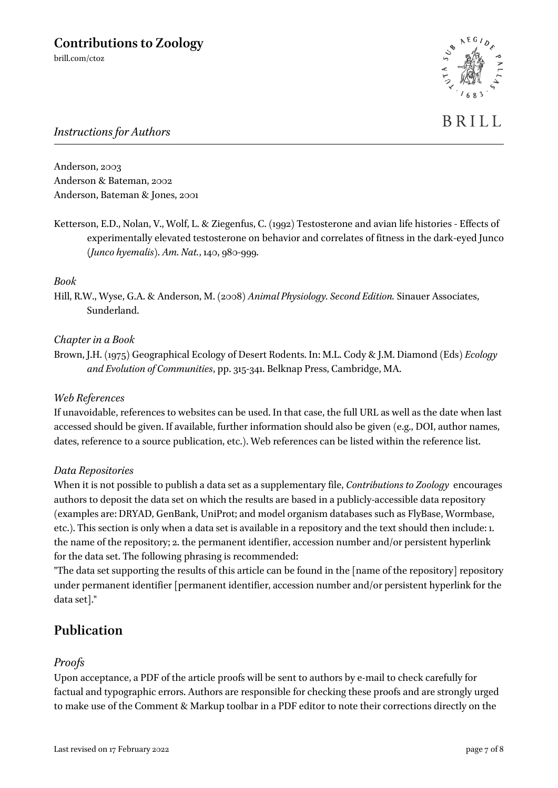

# *Instructions for Authors*

Anderson, 2003 Anderson & Bateman, 2002 Anderson, Bateman & Jones, 2001

Ketterson, E.D., Nolan, V., Wolf, L. & Ziegenfus, C. (1992) Testosterone and avian life histories - Effects of experimentally elevated testosterone on behavior and correlates of fitness in the dark-eyed Junco (*Junco hyemalis*). *Am. Nat.*, 140, 980-999.

#### *Book*

Hill, R.W., Wyse, G.A. & Anderson, M. (2008) *Animal Physiology. Second Edition.* Sinauer Associates, Sunderland.

#### *Chapter in a Book*

Brown, J.H. (1975) Geographical Ecology of Desert Rodents. In: M.L. Cody & J.M. Diamond (Eds) *Ecology and Evolution of Communities*, pp. 315-341. Belknap Press, Cambridge, MA.

#### *Web References*

If unavoidable, references to websites can be used. In that case, the full URL as well as the date when last accessed should be given. If available, further information should also be given (e.g., DOI, author names, dates, reference to a source publication, etc.). Web references can be listed within the reference list.

#### *Data Repositories*

When it is not possible to publish a data set as a supplementary file, *Contributions to Zoology* encourages authors to deposit the data set on which the results are based in a publicly-accessible data repository (examples are: DRYAD, GenBank, UniProt; and model organism databases such as FlyBase, Wormbase, etc.). This section is only when a data set is available in a repository and the text should then include: 1. the name of the repository; 2. the permanent identifier, accession number and/or persistent hyperlink for the data set. The following phrasing is recommended:

"The data set supporting the results of this article can be found in the [name of the repository] repository under permanent identifier [permanent identifier, accession number and/or persistent hyperlink for the data set]."

# **Publication**

#### *Proofs*

Upon acceptance, a PDF of the article proofs will be sent to authors by e-mail to check carefully for factual and typographic errors. Authors are responsible for checking these proofs and are strongly urged to make use of the Comment & Markup toolbar in a PDF editor to note their corrections directly on the